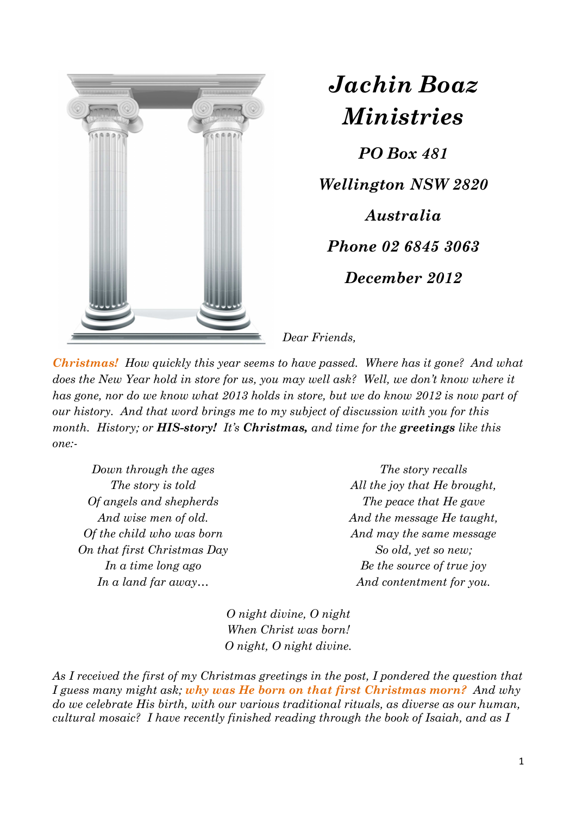

*Jachin Boaz Ministries*

*PO Box 481 Wellington NSW 2820 Australia Phone 02 6845 3063 December 2012* 

*Dear Friends,* 

*Christmas! How quickly this year seems to have passed. Where has it gone? And what does the New Year hold in store for us, you may well ask? Well, we don't know where it has gone, nor do we know what 2013 holds in store, but we do know 2012 is now part of our history. And that word brings me to my subject of discussion with you for this month. History; or HIS-story! It's Christmas, and time for the greetings like this one:-* 

*Down through the ages The story is told Of angels and shepherds And wise men of old. Of the child who was born On that first Christmas Day In a time long ago In a land far away…* 

*The story recalls All the joy that He brought, The peace that He gave And the message He taught, And may the same message So old, yet so new; Be the source of true joy And contentment for you.* 

*O night divine, O night When Christ was born! O night, O night divine.* 

*As I received the first of my Christmas greetings in the post, I pondered the question that I guess many might ask; why was He born on that first Christmas morn? And why do we celebrate His birth, with our various traditional rituals, as diverse as our human, cultural mosaic? I have recently finished reading through the book of Isaiah, and as I*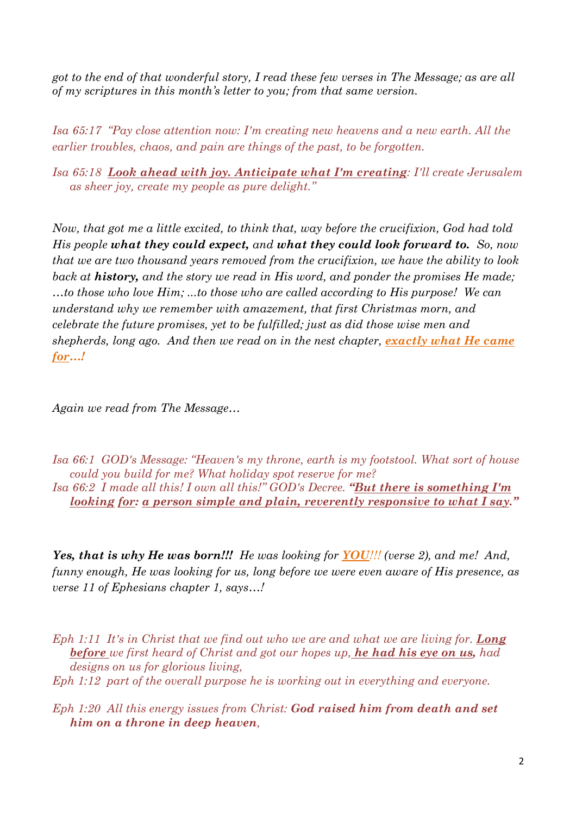*got to the end of that wonderful story, I read these few verses in The Message; as are all of my scriptures in this month's letter to you; from that same version.*

*Isa 65:17 "Pay close attention now: I'm creating new heavens and a new earth. All the earlier troubles, chaos, and pain are things of the past, to be forgotten.* 

*Isa 65:18 Look ahead with joy. Anticipate what I'm creating: I'll create Jerusalem as sheer joy, create my people as pure delight."* 

*Now, that got me a little excited, to think that, way before the crucifixion, God had told His people what they could expect, and what they could look forward to. So, now that we are two thousand years removed from the crucifixion, we have the ability to look back at history, and the story we read in His word, and ponder the promises He made; …to those who love Him; ...to those who are called according to His purpose! We can understand why we remember with amazement, that first Christmas morn, and celebrate the future promises, yet to be fulfilled; just as did those wise men and shepherds, long ago. And then we read on in the nest chapter, exactly what He came for…!* 

*Again we read from The Message…* 

*Isa 66:1 GOD's Message: "Heaven's my throne, earth is my footstool. What sort of house could you build for me? What holiday spot reserve for me? Isa 66:2 I made all this! I own all this!" GOD's Decree. "But there is something I'm* 

*looking for: a person simple and plain, reverently responsive to what I say."* 

*Yes, that is why He was born!!! He was looking for YOU!!! (verse 2), and me! And, funny enough, He was looking for us, long before we were even aware of His presence, as verse 11 of Ephesians chapter 1, says…!* 

*Eph 1:11 It's in Christ that we find out who we are and what we are living for. Long before we first heard of Christ and got our hopes up, he had his eye on us, had designs on us for glorious living,* 

*Eph 1:12 part of the overall purpose he is working out in everything and everyone.* 

*Eph 1:20 All this energy issues from Christ: God raised him from death and set him on a throne in deep heaven,*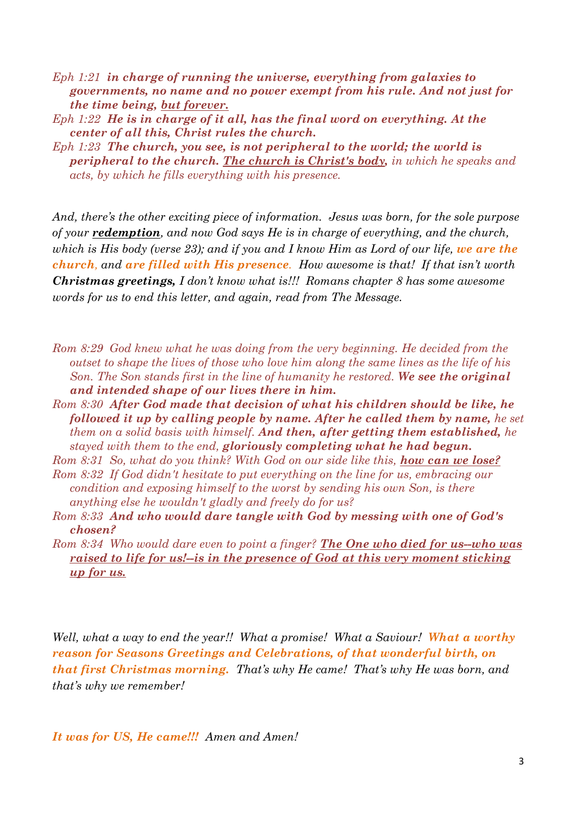*Eph 1:21 in charge of running the universe, everything from galaxies to governments, no name and no power exempt from his rule. And not just for the time being, but forever.* 

*Eph 1:22 He is in charge of it all, has the final word on everything. At the center of all this, Christ rules the church.* 

*Eph 1:23 The church, you see, is not peripheral to the world; the world is peripheral to the church. The church is Christ's body, in which he speaks and acts, by which he fills everything with his presence.* 

*And, there's the other exciting piece of information. Jesus was born, for the sole purpose of your redemption, and now God says He is in charge of everything, and the church, which is His body (verse 23); and if you and I know Him as Lord of our life, we are the church, and are filled with His presence. How awesome is that! If that isn't worth Christmas greetings, I don't know what is!!! Romans chapter 8 has some awesome words for us to end this letter, and again, read from The Message.* 

*Rom 8:29 God knew what he was doing from the very beginning. He decided from the outset to shape the lives of those who love him along the same lines as the life of his Son. The Son stands first in the line of humanity he restored. We see the original and intended shape of our lives there in him.* 

*Rom 8:30 After God made that decision of what his children should be like, he followed it up by calling people by name. After he called them by name, he set them on a solid basis with himself. And then, after getting them established, he stayed with them to the end, gloriously completing what he had begun.* 

*Rom 8:31 So, what do you think? With God on our side like this, how can we lose?* 

- *Rom 8:32 If God didn't hesitate to put everything on the line for us, embracing our condition and exposing himself to the worst by sending his own Son, is there anything else he wouldn't gladly and freely do for us?*
- *Rom 8:33 And who would dare tangle with God by messing with one of God's chosen?*
- *Rom 8:34 Who would dare even to point a finger? The One who died for us--who was raised to life for us!--is in the presence of God at this very moment sticking up for us.*

*Well, what a way to end the year!! What a promise! What a Saviour! What a worthy reason for Seasons Greetings and Celebrations, of that wonderful birth, on that first Christmas morning. That's why He came! That's why He was born, and that's why we remember!* 

*It was for US, He came!!! Amen and Amen!*